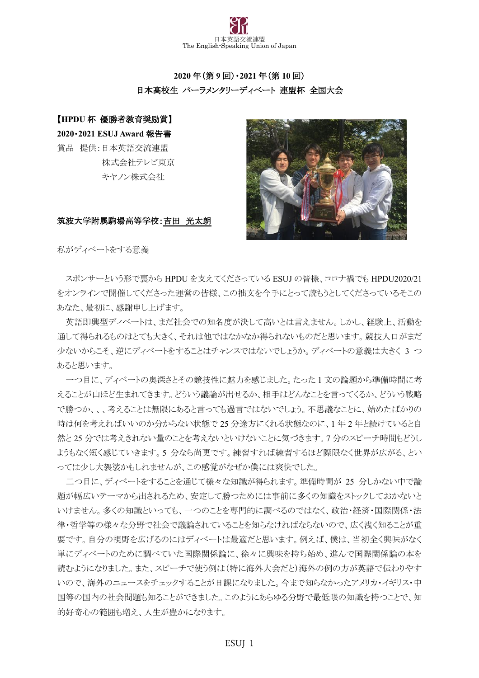# **2020** 年(第 **9** 回)・**2021** 年(第 **10** 回) 日本高校生 パーラメンタリーディベート 連盟杯 全国大会

【**HPDU** 杯 優勝者教育奨励賞】 **2020**・**2021 ESUJ Award** 報告書 賞品 提供:日本英語交流連盟 株式会社テレビ東京 キヤノン株式会社

#### 筑波大学附属駒場高等学校:吉田 光太朗



私がディベートをする意義

スポンサーという形で裏から HPDU を支えてくださっている ESUJ の皆様、コロナ禍でも HPDU2020/21 をオンラインで開催してくださった運営の皆様、この拙文を今手にとって読もうとしてくださっているそこの あなた、最初に、感謝申し上げます。

英語即興型ディベートは、まだ社会での知名度が決して高いとは言えません。しかし、経験上、活動を 通して得られるものはとても大きく、それは他ではなかなか得られないものだと思います。競技人口がまだ 少ないからこそ、逆にディベートをすることはチャンスではないでしょうか。ディベートの意義は大きく 3 つ あると思います。

一つ目に、ディベートの奥深さとその競技性に魅力を感じました。たった 1 文の論題から準備時間に考 えることが山ほど生まれてきます。どういう議論が出せるか、相手はどんなことを言ってくるか、どういう戦略 で勝つか、、、考えることは無限にあると言っても過言ではないでしょう。不思議なことに、始めたばかりの 時は何を考えればいいのか分からない状態で 25 分途方にくれる状態なのに、1 年 2 年と続けていると自 然と 25 分では考えきれない量のことを考えないといけないことに気づきます。7 分のスピーチ時間もどうし ようもなく短く感じていきます。5 分なら尚更です。練習すれば練習するほど際限なく世界が広がる、とい っては少し大袈裟かもしれませんが、この感覚がなぜか僕には爽快でした。

二つ目に、ディベートをすることを通じて様々な知識が得られます。準備時間が 25 分しかない中で論 題が幅広いテーマから出されるため、安定して勝つためには事前に多くの知識をストックしておかないと いけません。多くの知識といっても、一つのことを専門的に調べるのではなく、政治・経済・国際関係・法 律・哲学等の様々な分野で社会で議論されていることを知らなければならないので、広く浅く知ることが重 要です。自分の視野を広げるのにはディベートは最適だと思います。例えば、僕は、当初全く興味がなく 単にディベートのために調べていた国際関係論に、徐々に興味を持ち始め、進んで国際関係論の本を 読むようになりました。また、スピーチで使う例は(特に海外大会だと)海外の例の方が英語で伝わりやす いので、海外のニュースをチェックすることが日課になりました。今まで知らなかったアメリカ・イギリス・中 国等の国内の社会問題も知ることができました。このようにあらゆる分野で最低限の知識を持つことで、知 的好奇心の範囲も増え、人生が豊かになります。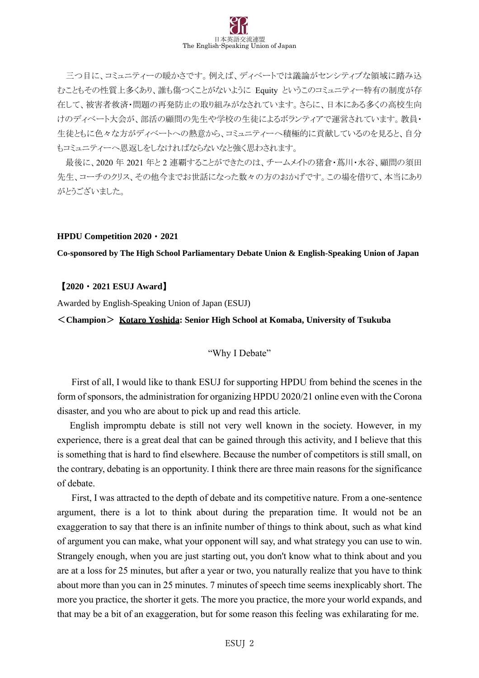# 日本英語交流連盟 The English-Speaking Union of Japan

三つ目に、コミュニティーの暖かさです。例えば、ディベートでは議論がセンシティブな領域に踏み込 むこともその性質上多くあり、誰も傷つくことがないように Equity というこのコミュニティー特有の制度が存 在して、被害者救済・問題の再発防止の取り組みがなされています。さらに、日本にある多くの高校生向 けのディベート大会が、部活の顧問の先生や学校の生徒によるボランティアで運営されています。教員・ 生徒ともに色々な方がディベートへの熱意から、コミュニティーへ積極的に貢献しているのを見ると、自分 もコミュニティーへ恩返しをしなければならないなと強く思わされます。

最後に、2020 年 2021 年と 2 連覇することができたのは、チームメイトの猪倉・蔦川・水谷、顧問の須田 先生、コーチのクリス、その他今までお世話になった数々の方のおかげです。この場を借りて、本当にあり がとうございました。

#### **HPDU Competition 2020**・**2021**

**Co-sponsored by The High School Parliamentary Debate Union & English-Speaking Union of Japan**

### 【**2020**・**2021 ESUJ Award**】

Awarded by English-Speaking Union of Japan (ESUJ)

### <**Champion**> **Kotaro Yoshida: Senior High School at Komaba, University of Tsukuba**

## "Why I Debate"

First of all, I would like to thank ESUJ for supporting HPDU from behind the scenes in the form of sponsors, the administration for organizing HPDU 2020/21 online even with the Corona disaster, and you who are about to pick up and read this article.

English impromptu debate is still not very well known in the society. However, in my experience, there is a great deal that can be gained through this activity, and I believe that this is something that is hard to find elsewhere. Because the number of competitors is still small, on the contrary, debating is an opportunity. I think there are three main reasons for the significance of debate.

First, I was attracted to the depth of debate and its competitive nature. From a one-sentence argument, there is a lot to think about during the preparation time. It would not be an exaggeration to say that there is an infinite number of things to think about, such as what kind of argument you can make, what your opponent will say, and what strategy you can use to win. Strangely enough, when you are just starting out, you don't know what to think about and you are at a loss for 25 minutes, but after a year or two, you naturally realize that you have to think about more than you can in 25 minutes. 7 minutes of speech time seems inexplicably short. The more you practice, the shorter it gets. The more you practice, the more your world expands, and that may be a bit of an exaggeration, but for some reason this feeling was exhilarating for me.